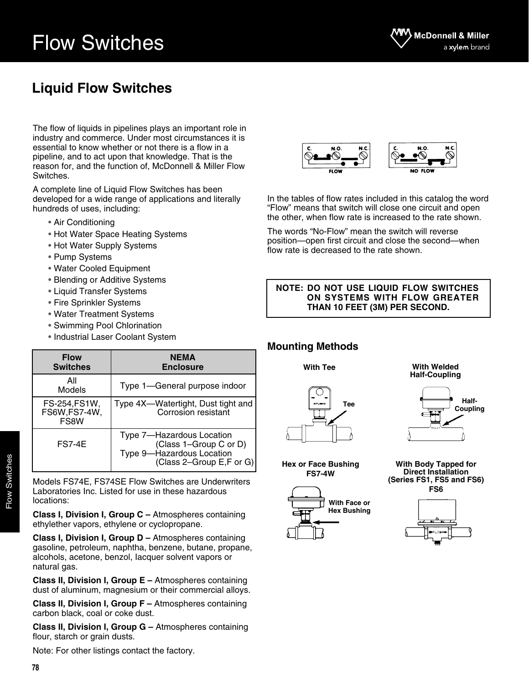## **Liquid Flow Switches**

The flow of liquids in pipelines plays an important role in industry and commerce. Under most circumstances it is essential to know whether or not there is a flow in a pipeline, and to act upon that knowledge. That is the reason for, and the function of, McDonnell & Miller Flow Switches.

A complete line of Liquid Flow Switches has been developed for a wide range of applications and literally hundreds of uses, including:

- Air Conditioning
- Hot Water Space Heating Systems
- Hot Water Supply Systems
- Pump Systems
- Water Cooled Equipment
- Blending or Additive Systems
- Liquid Transfer Systems
- Fire Sprinkler Systems
- Water Treatment Systems
- Swimming Pool Chlorination
- Industrial Laser Coolant System

| <b>Flow</b><br><b>Switches</b>        | NEMA<br><b>Enclosure</b>                                                                                     |
|---------------------------------------|--------------------------------------------------------------------------------------------------------------|
| All<br>Models                         | Type 1-General purpose indoor                                                                                |
| FS-254,FS1W,<br>FS6W, FS7-4W,<br>FS8W | Type 4X-Watertight, Dust tight and<br>Corrosion resistant                                                    |
| <b>FS7-4E</b>                         | Type 7-Hazardous Location<br>(Class 1-Group C or D)<br>Type 9-Hazardous Location<br>(Class 2–Group E,F or G) |

Models FS74E, FS74SE Flow Switches are Underwriters Laboratories Inc. Listed for use in these hazardous locations:

**Class I, Division I, Group C –** Atmospheres containing ethylether vapors, ethylene or cyclopropane.

**Class I, Division I, Group D –** Atmospheres containing gasoline, petroleum, naphtha, benzene, butane, propane, alcohols, acetone, benzol, Iacquer solvent vapors or natural gas.

**Class II, Division I, Group E –** Atmospheres containing dust of aluminum, magnesium or their commercial alloys.

**Class II, Division I, Group F –** Atmospheres containing carbon black, coal or coke dust.

**Class II, Division I, Group G - Atmospheres containing** flour, starch or grain dusts.

Note: For other listings contact the factory.



In the tables of flow rates included in this catalog the word "Flow" means that switch will close one circuit and open the other, when flow rate is increased to the rate shown.

The words "No-Flow" mean the switch will reverse position—open first circuit and close the second—when flow rate is decreased to the rate shown.

**NOTE: DO NOT USE LIQUID FLOW SWITCHES ON SYSTEMS WITH FLOW GREATER THAN 10 FEET (3M) PER SECOND.**

### **Mounting Methods**

**With Tee**

**Hex or Face Bushing FS7-4W**

**With Welded Half-Coupling**



**With Body Tapped for Direct Installation (Series FS1, FS5 and FS6) FS6**



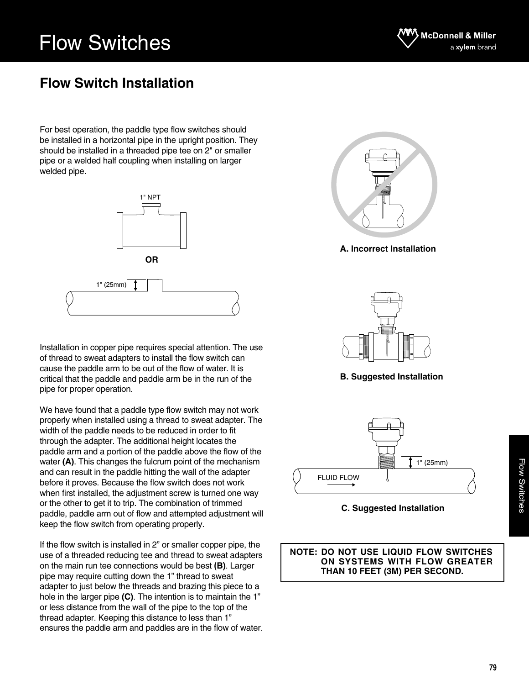

### **Flow Switch Installation**

For best operation, the paddle type flow switches should be installed in a horizontal pipe in the upright position. They should be installed in a threaded pipe tee on 2" or smaller pipe or a welded half coupling when installing on larger welded pipe.



Installation in copper pipe requires special attention. The use of thread to sweat adapters to install the flow switch can cause the paddle arm to be out of the flow of water. It is critical that the paddle and paddle arm be in the run of the pipe for proper operation.

We have found that a paddle type flow switch may not work properly when installed using a thread to sweat adapter. The width of the paddle needs to be reduced in order to fit through the adapter. The additional height locates the paddle arm and a portion of the paddle above the flow of the water **(A)**. This changes the fulcrum point of the mechanism and can result in the paddle hitting the wall of the adapter before it proves. Because the flow switch does not work when first installed, the adjustment screw is turned one way or the other to get it to trip. The combination of trimmed paddle, paddle arm out of flow and attempted adjustment will keep the flow switch from operating properly.

If the flow switch is installed in 2" or smaller copper pipe, the use of a threaded reducing tee and thread to sweat adapters on the main run tee connections would be best **(B)**. Larger pipe may require cutting down the 1" thread to sweat adapter to just below the threads and brazing this piece to a hole in the larger pipe **(C)**. The intention is to maintain the 1" or less distance from the wall of the pipe to the top of the thread adapter. Keeping this distance to less than 1" ensures the paddle arm and paddles are in the flow of water.



**A. Incorrect Installation**



**B. Suggested Installation**



**C. Suggested Installation**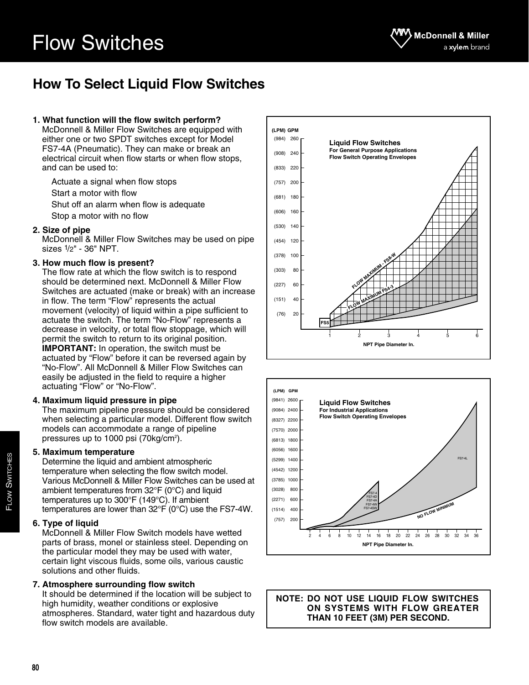## **How To Select Liquid Flow Switches**

#### **1. What function will the flow switch perform?**

McDonnell & Miller Flow Switches are equipped with either one or two SPDT switches except for Model FS7-4A (Pneumatic). They can make or break an electrical circuit when flow starts or when flow stops, and can be used to:

Actuate a signal when flow stops Start a motor with flow Shut off an alarm when flow is adequate Stop a motor with no flow

#### **2. Size of pipe**

McDonnell & Miller Flow Switches may be used on pipe sizes 1/2" - 36" NPT.

#### **3. How much flow is present?**

The flow rate at which the flow switch is to respond should be determined next. McDonnell & Miller Flow Switches are actuated (make or break) with an increase in flow. The term "Flow" represents the actual movement (velocity) of liquid within a pipe sufficient to actuate the switch. The term "No-Flow" represents a decrease in velocity, or total flow stoppage, which will permit the switch to return to its original position. **IMPORTANT:** In operation, the switch must be actuated by "Flow" before it can be reversed again by "No-Flow". All McDonnell & Miller Flow Switches can easily be adjusted in the field to require a higher actuating "Flow" or "No-Flow".

#### **4. Maximum liquid pressure in pipe**

The maximum pipeline pressure should be considered when selecting a particular model. Different flow switch models can accommodate a range of pipeline pressures up to 1000 psi (70kg/cm²).

#### **5. Maximum temperature**

Determine the liquid and ambient atmospheric temperature when selecting the flow switch model. Various McDonnell & Miller Flow Switches can be used at ambient temperatures from 32°F (0°C) and liquid temperatures up to 300°F (149°C). If ambient temperatures are lower than 32°F (0°C) use the FS7-4W.

#### **6. Type of liquid**

McDonnell & Miller Flow Switch models have wetted parts of brass, monel or stainless steel. Depending on the particular model they may be used with water, certain light viscous fluids, some oils, various caustic solutions and other fluids.

#### **7. Atmosphere surrounding flow switch**

It should be determined if the location will be subject to high humidity, weather conditions or explosive atmospheres. Standard, water tight and hazardous duty flow switch models are available.



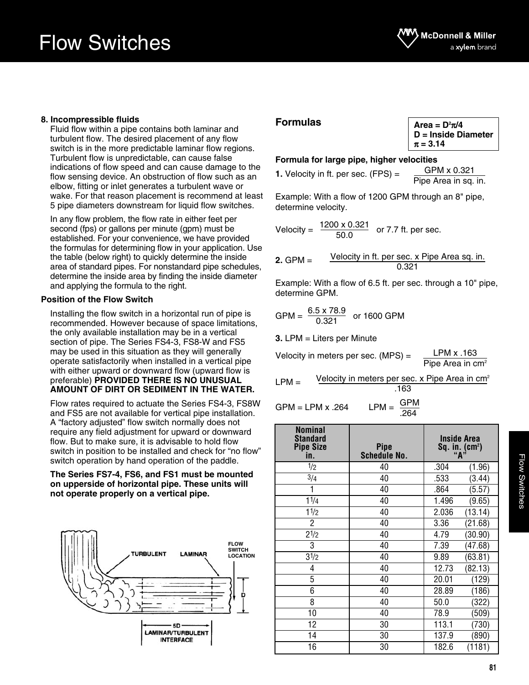#### **8. Incompressible fluids**

Fluid flow within a pipe contains both laminar and turbulent flow. The desired placement of any flow switch is in the more predictable laminar flow regions. Turbulent flow is unpredictable, can cause false indications of flow speed and can cause damage to the flow sensing device. An obstruction of flow such as an elbow, fitting or inlet generates a turbulent wave or wake. For that reason placement is recommend at least 5 pipe diameters downstream for liquid flow switches.

In any flow problem, the flow rate in either feet per second (fps) or gallons per minute (gpm) must be established. For your convenience, we have provided the formulas for determining flow in your application. Use the table (below right) to quickly determine the inside area of standard pipes. For nonstandard pipe schedules, determine the inside area by finding the inside diameter and applying the formula to the right.

#### **Position of the Flow Switch**

Installing the flow switch in a horizontal run of pipe is recommended. However because of space limitations, the only available installation may be in a vertical section of pipe. The Series FS4-3, FS8-W and FS5 may be used in this situation as they will generally operate satisfactorily when installed in a vertical pipe with either upward or downward flow (upward flow is preferable) **PROVIDED THERE IS NO UNUSUAL AMOUNT OF DIRT OR SEDIMENT IN THE WATER.**

Flow rates required to actuate the Series FS4-3, FS8W and FS5 are not available for vertical pipe installation. A "factory adjusted" flow switch normally does not require any field adjustment for upward or downward flow. But to make sure, it is advisable to hold flow switch in position to be installed and check for "no flow" switch operation by hand operation of the paddle.

#### **The Series FS7-4, FS6, and FS1 must be mounted on upperside of horizontal pipe. These units will not operate properly on a vertical pipe.**



#### **Formulas**

| Area = D <del>°π</del> /4 |  |
|---------------------------|--|
| D = Inside Diameter       |  |
| $\pi = 3.14$              |  |

#### **Formula for large pipe, higher velocities**

**1.** Velocity in ft. per sec. (FPS) =

GPM x 0.321 Pipe Area in sq. in.

Example: With a flow of 1200 GPM through an 8" pipe, determine velocity.

Velocity =  $\frac{1200 \times 0.321}{50.02}$  or 7.7 ft. per sec. 50.0

2. GPM = 
$$
\frac{\text{Velocity in ft. per sec. x pipe Area sq. in.}}{0.321}
$$

Example: With a flow of 6.5 ft. per sec. through a 10" pipe, determine GPM.

$$
GPM = \frac{6.5 \times 78.9}{0.321}
$$
 or 1600 GPM

**3.** LPM = Liters per Minute

Velocity in meters per sec. (MPS) = LPM x .163 Pipe Area in cm<sup>2</sup>

 $LPM =$ Velocity in meters per sec.  $x$  Pipe Area in cm<sup>2</sup> .163

 $GPM = IPM \times 264$  LPM =  $\frac{GPM}{A}$ .264

| <b>Nominal</b><br><b>Standard</b><br><b>Pipe Size</b><br>in. | <b>Pipe</b><br><b>Schedule No.</b> | <b>Inside Area</b><br>Sq. in. (cm <sup>2</sup> )<br>"A" |
|--------------------------------------------------------------|------------------------------------|---------------------------------------------------------|
| 1/2                                                          | 40                                 | .304<br>(1.96)                                          |
| 3/4                                                          | 40                                 | .533<br>(3.44)                                          |
| 1                                                            | 40                                 | (5.57)<br>.864                                          |
| 11/4                                                         | 40                                 | 1.496<br>(9.65)                                         |
| 11/2                                                         | 40                                 | 2.036<br>(13.14)                                        |
| $\overline{2}$                                               | 40                                 | 3.36<br>(21.68)                                         |
| $2^{1/2}$                                                    | 40                                 | 4.79<br>(30.90)                                         |
| 3                                                            | 40                                 | 7.39<br>(47.68)                                         |
| 31/2                                                         | 40                                 | 9.89<br>(63.81)                                         |
| 4                                                            | 40                                 | 12.73<br>(82.13)                                        |
| 5                                                            | 40                                 | 20.01<br>(129)                                          |
| 6                                                            | 40                                 | 28.89<br>(186)                                          |
| 8                                                            | 40                                 | 50.0<br>(322)                                           |
| 10                                                           | 40                                 | 78.9<br>(509)                                           |
| 12                                                           | 30                                 | 113.1<br>(730)                                          |
| 14                                                           | 30                                 | 137.9<br>(890)                                          |
| 16                                                           | 30                                 | 182.6<br>(1181)                                         |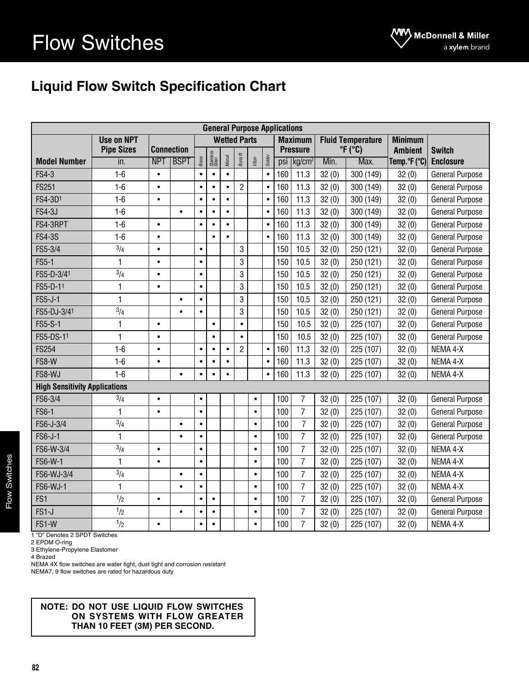## **Liquid Flow Switch Specification Chart**

|                                      |                   |                   |             |                        |                    |           |                     |           |                | <b>General Purpose Applications</b> |                    |                    |                            |                |                        |  |
|--------------------------------------|-------------------|-------------------|-------------|------------------------|--------------------|-----------|---------------------|-----------|----------------|-------------------------------------|--------------------|--------------------|----------------------------|----------------|------------------------|--|
|                                      | <b>Use on NPT</b> |                   |             |                        |                    |           | <b>Wetted Parts</b> |           |                |                                     | <b>Maximum</b>     |                    | <b>Fluid Temperature</b>   | <b>Minimum</b> |                        |  |
|                                      | <b>Pipe Sizes</b> | <b>Connection</b> |             |                        | Stainless<br>Steel |           |                     |           |                |                                     | <b>Pressure</b>    |                    | $\degree$ F ( $\degree$ C) | <b>Ambient</b> | <b>Switch</b>          |  |
| <b>Model Number</b>                  | in.               | <b>NPT</b>        | <b>BSPT</b> | <b>Brass</b>           |                    | Monel     | Buna N              | Viton     | Solder         | psi                                 | kg/cm <sup>2</sup> | Min.               | Max.                       | Temp.°F (°C)   | <b>Enclosure</b>       |  |
| <b>FS4-3</b>                         | $1-6$             | $\bullet$         |             | $\bullet$              | $\bullet$          | $\bullet$ |                     |           | $\bullet$      | 160                                 | 11.3               | 32(0)              | 300 (149)                  | 32(0)          | <b>General Purpose</b> |  |
| <b>FS251</b>                         | $1-6$             | $\bullet$         |             | $\bullet$              | $\bullet$          | $\bullet$ | $\overline{2}$      |           | $\bullet$      | 160                                 | 11.3               | 32(0)              | 300 (149)                  | 32(0)          | <b>General Purpose</b> |  |
| FS4-3D1                              | $1-6$             | $\bullet$         |             | $\bullet$              | $\bullet$          | $\bullet$ |                     |           | $\bullet$      | 160                                 | 11.3               | 32(0)              | 300 (149)                  | 32(0)          | <b>General Purpose</b> |  |
| <b>FS4-3J</b>                        | $1-6$             |                   | $\bullet$   | $\bullet$              | $\bullet$          | $\bullet$ |                     |           | $\bullet$      | 160                                 | 11.3               | 32(0)              | 300 (149)                  | 32(0)          | <b>General Purpose</b> |  |
| FS4-3RPT                             | $1-6$             | $\bullet$         |             | $\bullet$              | $\bullet$          | $\bullet$ |                     |           | $\bullet$      | 160                                 | 11.3               | 32(0)              | 300 (149)                  | 32(0)          | <b>General Purpose</b> |  |
| <b>FS4-3S</b>                        | $1-6$             | $\bullet$         |             |                        | $\bullet$          | $\bullet$ |                     |           | $\bullet$      | 160                                 | 11.3               | 32(0)              | 300 (149)                  | 32(0)          | <b>General Purpose</b> |  |
| FS5-3/4                              | $\frac{3}{4}$     | $\bullet$         |             | $\bullet$              |                    |           | 3                   |           |                | 150                                 | 10.5               | 32(0)              | 250 (121)                  | 32(0)          | <b>General Purpose</b> |  |
| <b>FS5-1</b>                         | 1                 | $\bullet$         |             | $\bullet$              |                    |           | 3                   |           |                | 150                                 | 10.5               | 32(0)              | 250 (121)                  | 32(0)          | <b>General Purpose</b> |  |
| FS5-D-3/41                           | $\frac{3}{4}$     | $\bullet$         |             | $\bullet$              |                    |           | 3                   |           |                | 150                                 | 10.5               | 32(0)              | 250 (121)                  | 32(0)          | <b>General Purpose</b> |  |
| FS5-D-11                             | 1                 | $\bullet$         |             | $\bullet$              |                    |           | 3                   |           |                | 150                                 | 10.5               | 32(0)              | 250 (121)                  | 32(0)          | <b>General Purpose</b> |  |
| <b>FS5-J-1</b>                       | $\mathbf{1}$      |                   | $\bullet$   | $\bullet$              |                    |           | 3                   |           |                | 150                                 | 10.5               | 32(0)              | 250 (121)                  | 32(0)          | <b>General Purpose</b> |  |
| FS5-DJ-3/41                          | $\frac{3}{4}$     |                   | $\bullet$   | $\bullet$              |                    |           | 3                   |           |                | 150                                 | 10.5               | 32(0)              | 250 (121)                  | 32(0)          | <b>General Purpose</b> |  |
| <b>FS5-S-1</b>                       | $\mathbf{1}$      | $\bullet$         |             |                        | $\bullet$          |           | $\bullet$           |           |                | 150                                 | 10.5               | 32(0)              | 225 (107)                  | 32(0)          | <b>General Purpose</b> |  |
| FS5-DS-11                            | $\mathbf{1}$      | $\bullet$         |             |                        | $\bullet$          |           | $\bullet$           |           |                | 150                                 | 10.5               | 32(0)              | 225 (107)                  | 32(0)          | <b>General Purpose</b> |  |
| <b>FS254</b>                         | $1-6$             | $\bullet$         |             | $\bullet$              | $\bullet$          | $\bullet$ | $\overline{2}$      |           | $\bullet$      | 160                                 | 11.3               | 32(0)              | 225 (107)                  | 32(0)          | NEMA 4-X               |  |
| FS8-W                                | $1-6$             | $\bullet$         |             | $\bullet$              | $\bullet$          | $\bullet$ |                     |           | $\bullet$      | 160                                 | 11.3               | 32(0)              | 225 (107)                  | 32(0)          | NEMA 4-X               |  |
| FS8-WJ                               | $1-6$             |                   | $\bullet$   | $\bullet$              | $\bullet$          | $\bullet$ |                     |           | $\bullet$      | 160<br>11.3                         |                    | 32(0)<br>225 (107) |                            | 32(0)          | NEMA 4-X               |  |
| <b>High Sensitivity Applications</b> |                   |                   |             |                        |                    |           |                     |           |                |                                     |                    |                    |                            |                |                        |  |
| FS6-3/4                              | 3/4               | $\bullet$         |             | $\bullet$              |                    |           |                     | $\bullet$ |                | 100                                 | 7                  | 32(0)              | 225 (107)                  | 32(0)          | <b>General Purpose</b> |  |
| <b>FS6-1</b>                         | 1                 | $\bullet$         |             | $\bullet$              |                    |           |                     | $\bullet$ |                | 100                                 | $\overline{7}$     | 32(0)              | 225 (107)                  | 32(0)          | <b>General Purpose</b> |  |
| FS6-J-3/4                            | $\frac{3}{4}$     |                   | $\bullet$   | $\bullet$              |                    |           |                     | $\bullet$ |                | 100                                 | $\overline{7}$     | 32(0)              | 225 (107)                  | 32(0)          | <b>General Purpose</b> |  |
| FS6-J-1                              | $\mathbf{1}$      |                   | $\bullet$   | $\bullet$              |                    |           |                     | $\bullet$ |                | 100                                 | $\overline{7}$     | 32(0)              | 225 (107)                  | 32(0)          | <b>General Purpose</b> |  |
| FS6-W-3/4                            | 3/4               | $\bullet$         |             | $\bullet$              |                    |           |                     | $\bullet$ |                | 100                                 | $\overline{7}$     | 32(0)              | 225 (107)                  | 32(0)          | NEMA 4-X               |  |
| FS6-W-1                              | $\mathbf{1}$      | $\bullet$         |             | $\bullet$              |                    |           |                     | $\bullet$ |                | 100                                 | $\overline{7}$     | 32(0)              | 225 (107)                  | 32(0)          | NEMA 4-X               |  |
| FS6-WJ-3/4                           | $\sqrt[3]{4}$     |                   | $\bullet$   | $\bullet$              |                    |           |                     | $\bullet$ |                | 100                                 | $\overline{7}$     | 32(0)              | 225 (107)                  | 32(0)          | NEMA 4-X               |  |
| <b>FS6-WJ-1</b>                      | $\mathbf{1}$      |                   | $\bullet$   | $\bullet$              |                    |           | $\bullet$           |           |                | 100                                 | $\overline{7}$     | 32(0)              | 225 (107)                  | 32(0)          | NEMA 4-X               |  |
| FS1                                  | 1/2               | $\bullet$         |             | $\bullet$<br>$\bullet$ |                    | $\bullet$ |                     | 100       | $\overline{7}$ | 32(0)                               | 225 (107)          | 32(0)              | <b>General Purpose</b>     |                |                        |  |
| FS1-J                                | 1/2               |                   | $\bullet$   | $\bullet$              | $\bullet$          |           |                     | $\bullet$ |                | 100                                 | $\overline{7}$     | 32(0)              | 225 (107)                  | 32(0)          | <b>General Purpose</b> |  |
| FS1-W                                | 1/2               | $\bullet$         |             | $\bullet$              | $\bullet$          |           |                     | $\bullet$ |                | 100                                 | $\overline{7}$     | 32(0)              | 225 (107)                  | 32(0)          | NEMA 4-X               |  |

1 "D" Denotes 2 SPDT Switches

2 EPDM O-ring 3 Ethylene-Propylene Elastomer

4 Brazed

NEMA 4X flow switches are water tight, dust tight and corrosion resistant

NEMA7, 9 flow switches are rated for hazardous duty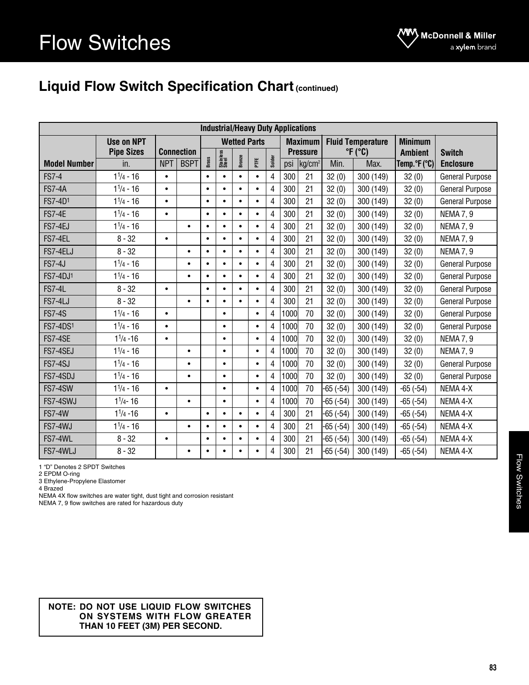### **Liquid Flow Switch Specification Chart (continued)**

|                     |                   |            |                   |                    |           |           |                     |                |                            | <b>Industrial/Heavy Duty Applications</b> |               |                          |                |                        |
|---------------------|-------------------|------------|-------------------|--------------------|-----------|-----------|---------------------|----------------|----------------------------|-------------------------------------------|---------------|--------------------------|----------------|------------------------|
|                     | <b>Use on NPT</b> |            |                   |                    |           |           | <b>Wetted Parts</b> |                |                            | <b>Maximum</b>                            |               | <b>Fluid Temperature</b> | <b>Minimum</b> |                        |
|                     | <b>Pipe Sizes</b> |            | <b>Connection</b> | Stainless<br>Steel |           |           | <b>Pressure</b>     |                | $\degree$ F ( $\degree$ C) | <b>Ambient</b>                            | <b>Switch</b> |                          |                |                        |
| <b>Model Number</b> | in.               | <b>NPT</b> | <b>BSPT</b>       | Brass              |           | Bronze    | FTE                 | Solder         |                            | psi kg/cm <sup>2</sup>                    | Min.          | Max.                     | Temp.°F(°C)    | <b>Enclosure</b>       |
| <b>FS7-4</b>        | $1^{1/4} - 16$    | $\bullet$  |                   | $\bullet$          | $\bullet$ | $\bullet$ | $\bullet$           | 4              | 300                        | 21                                        | 32(0)         | 300 (149)                | 32(0)          | <b>General Purpose</b> |
| <b>FS7-4A</b>       | $1^{1/4} - 16$    | $\bullet$  |                   | $\bullet$          | $\bullet$ | $\bullet$ | $\bullet$           | 4              | 300                        | 21                                        | 32(0)         | 300 (149)                | 32(0)          | <b>General Purpose</b> |
| FS7-4D1             | $1^{1/4} - 16$    | $\bullet$  |                   | $\bullet$          | $\bullet$ | $\bullet$ | $\bullet$           | 4              | 300                        | 21                                        | 32(0)         | 300 (149)                | 32(0)          | <b>General Purpose</b> |
| <b>FS7-4E</b>       | $1^{1/4} - 16$    | $\bullet$  |                   | $\bullet$          | $\bullet$ | $\bullet$ | $\bullet$           | 4              | 300                        | 21                                        | 32(0)         | 300 (149)                | 32(0)          | <b>NEMA 7, 9</b>       |
| FS7-4EJ             | $1^{1/4} - 16$    |            | $\bullet$         | $\bullet$          | $\bullet$ | $\bullet$ | $\bullet$           | 4              | 300                        | 21                                        | 32(0)         | 300 (149)                | 32(0)          | <b>NEMA 7, 9</b>       |
| FS7-4EL             | $8 - 32$          | $\bullet$  |                   | $\bullet$          | $\bullet$ | $\bullet$ | $\bullet$           | 4              | 300                        | 21                                        | 32(0)         | 300 (149)                | 32(0)          | <b>NEMA 7, 9</b>       |
| FS7-4ELJ            | $8 - 32$          |            | $\bullet$         | $\bullet$          | $\bullet$ | $\bullet$ | $\bullet$           | $\overline{4}$ | 300                        | 21                                        | 32(0)         | 300 (149)                | 32(0)          | <b>NEMA 7, 9</b>       |
| <b>FS7-4J</b>       | $1^{1/4} - 16$    |            | $\bullet$         | $\bullet$          | $\bullet$ | $\bullet$ | $\bullet$           | $\overline{4}$ | 300                        | 21                                        | 32(0)         | 300 (149)                | 32(0)          | <b>General Purpose</b> |
| FS7-4DJ1            | $1^{1/4} - 16$    |            | $\bullet$         | $\bullet$          | $\bullet$ | $\bullet$ | $\bullet$           | 4              | 300                        | 21                                        | 32(0)         | 300 (149)                | 32(0)          | <b>General Purpose</b> |
| <b>FS7-4L</b>       | $8 - 32$          | $\bullet$  |                   | $\bullet$          | $\bullet$ | $\bullet$ | $\bullet$           | 4              | 300                        | 21                                        | 32(0)         | 300 (149)                | 32(0)          | <b>General Purpose</b> |
| FS7-4LJ             | $8 - 32$          |            | $\bullet$         | $\bullet$          | $\bullet$ | $\bullet$ | $\bullet$           | $\overline{4}$ | 300                        | 21                                        | 32(0)         | 300 (149)                | 32(0)          | <b>General Purpose</b> |
| <b>FS7-4S</b>       | $1^{1/4} - 16$    | $\bullet$  |                   |                    | $\bullet$ |           | $\bullet$           | 4              | 1000                       | 70                                        | 32(0)         | 300 (149)                | 32(0)          | <b>General Purpose</b> |
| <b>FS7-4DS1</b>     | $1^{1/4} - 16$    | $\bullet$  |                   |                    | $\bullet$ |           | $\bullet$           | 4              | 1000                       | 70                                        | 32(0)         | 32(0)<br>300 (149)       |                | <b>General Purpose</b> |
| FS7-4SE             | $1^{1/4} - 16$    | $\bullet$  |                   |                    | $\bullet$ |           | $\bullet$           | 4              | 1000                       | 70                                        | 32(0)         | 300 (149)                | 32(0)          | <b>NEMA 7, 9</b>       |
| FS7-4SEJ            | $1^{1/4} - 16$    |            | $\bullet$         |                    | $\bullet$ |           | $\bullet$           | 4              | 1000                       | 70                                        | 32(0)         | 300 (149)                | 32(0)          | <b>NEMA 7, 9</b>       |
| FS7-4SJ             | $1^{1/4} - 16$    |            | $\bullet$         |                    | $\bullet$ |           | $\bullet$           | 4              | 1000                       | 70                                        | 32(0)         | 300 (149)                | 32(0)          | <b>General Purpose</b> |
| FS7-4SDJ            | $1^{1/4} - 16$    |            | $\bullet$         |                    | $\bullet$ |           | $\bullet$           | 4              | 1000                       | 70                                        | 32(0)         | 300 (149)                | 32(0)          | <b>General Purpose</b> |
| FS7-4SW             | $1^{1/4} - 16$    | $\bullet$  |                   |                    | $\bullet$ |           | $\bullet$           | 4              | 1000                       | 70                                        | $-65(-54)$    | 300 (149)                | $-65(-54)$     | NEMA 4-X               |
| FS7-4SWJ            | $1^{1/4} - 16$    |            | $\bullet$         |                    | $\bullet$ |           | $\bullet$           | 4              | 1000                       | 70                                        | $-65(-54)$    | 300 (149)                | $-65(-54)$     | NEMA 4-X               |
| <b>FS7-4W</b>       | $1^{1/4} - 16$    | $\bullet$  |                   | $\bullet$          | $\bullet$ | $\bullet$ | $\bullet$           | 4              | 300                        | 21                                        | $-65(-54)$    | 300 (149)                | $-65(-54)$     | NEMA 4-X               |
| FS7-4WJ             | $1^{1/4} - 16$    |            | $\bullet$         | $\bullet$          | $\bullet$ | $\bullet$ | $\bullet$           | 4              | 300                        | 21                                        | $-65(-54)$    | 300 (149)                | $-65(-54)$     | NEMA 4-X               |
| FS7-4WL             | $8 - 32$          | $\bullet$  |                   | $\bullet$          | $\bullet$ | $\bullet$ | $\bullet$           | 4              | 300                        | 21                                        | $-65(-54)$    | 300 (149)                | $-65(-54)$     | NEMA 4-X               |
| FS7-4WLJ            | $8 - 32$          |            | $\bullet$         | $\bullet$          | $\bullet$ | $\bullet$ | $\bullet$           | 4              | 300                        | 21                                        | $-65(-54)$    | 300 (149)                | $-65(-54)$     | NEMA 4-X               |

1 "D" Denotes 2 SPDT Switches

2 EPDM O-ring

3 Ethylene-Propylene Elastomer

4 Brazed

NEMA 4X flow switches are water tight, dust tight and corrosion resistant

NEMA 7, 9 flow switches are rated for hazardous duty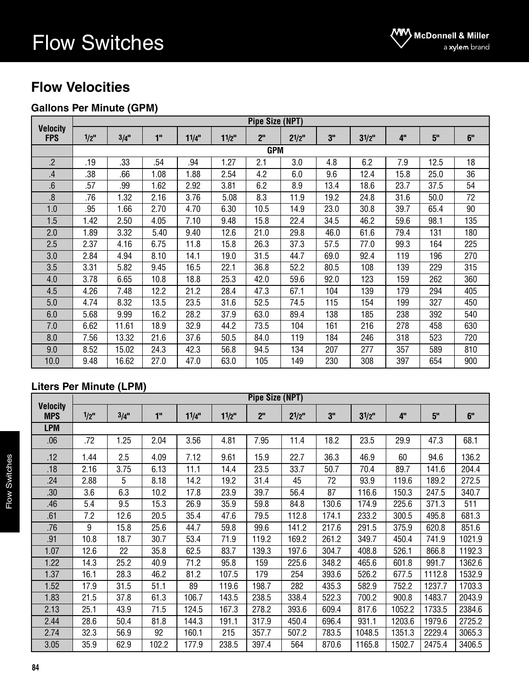### **Flow Velocities**

### **Gallons Per Minute (GPM)**

|                               |            | <b>Pipe Size (NPT)</b> |      |       |          |                 |       |      |          |      |      |     |  |  |  |  |
|-------------------------------|------------|------------------------|------|-------|----------|-----------------|-------|------|----------|------|------|-----|--|--|--|--|
| <b>Velocity</b><br><b>FPS</b> | $1/2$ "    | 3/4"                   | 1"   | 11/4" | $11/2$ " | 2 <sup>''</sup> | 21/2" | 3"   | $31/2$ " | 4"   | 5"   | 6"  |  |  |  |  |
|                               | <b>GPM</b> |                        |      |       |          |                 |       |      |          |      |      |     |  |  |  |  |
| $\overline{.2}$               | .19        | .33                    | .54  | .94   | 1.27     | 2.1             | 3.0   | 4.8  | 6.2      | 7.9  | 12.5 | 18  |  |  |  |  |
| .4                            | .38        | .66                    | 1.08 | 1.88  | 2.54     | 4.2             | 6.0   | 9.6  | 12.4     | 15.8 | 25.0 | 36  |  |  |  |  |
| 6.                            | .57        | .99                    | 1.62 | 2.92  | 3.81     | 6.2             | 8.9   | 13.4 | 18.6     | 23.7 | 37.5 | 54  |  |  |  |  |
| 8.                            | .76        | 1.32                   | 2.16 | 3.76  | 5.08     | 8.3             | 11.9  | 19.2 | 24.8     | 31.6 | 50.0 | 72  |  |  |  |  |
| 1.0                           | .95        | 1.66                   | 2.70 | 4.70  | 6.30     | 10.5            | 14.9  | 23.0 | 30.8     | 39.7 | 65.4 | 90  |  |  |  |  |
| 1.5                           | 1.42       | 2.50                   | 4.05 | 7.10  | 9.48     | 15.8            | 22.4  | 34.5 | 46.2     | 59.6 | 98.1 | 135 |  |  |  |  |
| 2.0                           | 1.89       | 3.32                   | 5.40 | 9.40  | 12.6     | 21.0            | 29.8  | 46.0 | 61.6     | 79.4 | 131  | 180 |  |  |  |  |
| 2.5                           | 2.37       | 4.16                   | 6.75 | 11.8  | 15.8     | 26.3            | 37.3  | 57.5 | 77.0     | 99.3 | 164  | 225 |  |  |  |  |
| 3.0                           | 2.84       | 4.94                   | 8.10 | 14.1  | 19.0     | 31.5            | 44.7  | 69.0 | 92.4     | 119  | 196  | 270 |  |  |  |  |
| 3.5                           | 3.31       | 5.82                   | 9.45 | 16.5  | 22.1     | 36.8            | 52.2  | 80.5 | 108      | 139  | 229  | 315 |  |  |  |  |
| 4.0                           | 3.78       | 6.65                   | 10.8 | 18.8  | 25.3     | 42.0            | 59.6  | 92.0 | 123      | 159  | 262  | 360 |  |  |  |  |
| 4.5                           | 4.26       | 7.48                   | 12.2 | 21.2  | 28.4     | 47.3            | 67.1  | 104  | 139      | 179  | 294  | 405 |  |  |  |  |
| 5.0                           | 4.74       | 8.32                   | 13.5 | 23.5  | 31.6     | 52.5            | 74.5  | 115  | 154      | 199  | 327  | 450 |  |  |  |  |
| 6.0                           | 5.68       | 9.99                   | 16.2 | 28.2  | 37.9     | 63.0            | 89.4  | 138  | 185      | 238  | 392  | 540 |  |  |  |  |
| 7.0                           | 6.62       | 11.61                  | 18.9 | 32.9  | 44.2     | 73.5            | 104   | 161  | 216      | 278  | 458  | 630 |  |  |  |  |
| 8.0                           | 7.56       | 13.32                  | 21.6 | 37.6  | 50.5     | 84.0            | 119   | 184  | 246      | 318  | 523  | 720 |  |  |  |  |
| 9.0                           | 8.52       | 15.02                  | 24.3 | 42.3  | 56.8     | 94.5            | 134   | 207  | 277      | 357  | 589  | 810 |  |  |  |  |
| 10.0                          | 9.48       | 16.62                  | 27.0 | 47.0  | 63.0     | 105             | 149   | 230  | 308      | 397  | 654  | 900 |  |  |  |  |

### **Liters Per Minute (LPM)**

|                               |         |      |       |       |          | <b>Pipe Size (NPT)</b> |           |       |          |        |        |        |
|-------------------------------|---------|------|-------|-------|----------|------------------------|-----------|-------|----------|--------|--------|--------|
| <b>Velocity</b><br><b>MPS</b> | $1/2$ " | 3/4" | 1"    | 11/4" | $11/2$ " | 2 <sup>n</sup>         | $2^{1/2}$ | 3"    | $31/2$ " | 4"     | 5"     | 6"     |
| <b>LPM</b>                    |         |      |       |       |          |                        |           |       |          |        |        |        |
| .06                           | .72     | 1.25 | 2.04  | 3.56  | 4.81     | 7.95                   | 11.4      | 18.2  | 23.5     | 29.9   | 47.3   | 68.1   |
| .12                           | 1.44    | 2.5  | 4.09  | 7.12  | 9.61     | 15.9                   | 22.7      | 36.3  | 46.9     | 60     | 94.6   | 136.2  |
| .18                           | 2.16    | 3.75 | 6.13  | 11.1  | 14.4     | 23.5                   | 33.7      | 50.7  | 70.4     | 89.7   | 141.6  | 204.4  |
| .24                           | 2.88    | 5    | 8.18  | 14.2  | 19.2     | 31.4                   | 45        | 72    | 93.9     | 119.6  | 189.2  | 272.5  |
| .30                           | 3.6     | 6.3  | 10.2  | 17.8  | 23.9     | 39.7                   | 56.4      | 87    | 116.6    | 150.3  | 247.5  | 340.7  |
| .46                           | 5.4     | 9.5  | 15.3  | 26.9  | 35.9     | 59.8                   | 84.8      | 130.6 | 174.9    | 225.6  | 371.3  | 511    |
| .61                           | 7.2     | 12.6 | 20.5  | 35.4  | 47.6     | 79.5                   | 112.8     | 174.1 | 233.2    | 300.5  | 495.8  | 681.3  |
| .76                           | 9       | 15.8 | 25.6  | 44.7  | 59.8     | 99.6                   | 141.2     | 217.6 | 291.5    | 375.9  | 620.8  | 851.6  |
| .91                           | 10.8    | 18.7 | 30.7  | 53.4  | 71.9     | 119.2                  | 169.2     | 261.2 | 349.7    | 450.4  | 741.9  | 1021.9 |
| 1.07                          | 12.6    | 22   | 35.8  | 62.5  | 83.7     | 139.3                  | 197.6     | 304.7 | 408.8    | 526.1  | 866.8  | 1192.3 |
| 1.22                          | 14.3    | 25.2 | 40.9  | 71.2  | 95.8     | 159                    | 225.6     | 348.2 | 465.6    | 601.8  | 991.7  | 1362.6 |
| 1.37                          | 16.1    | 28.3 | 46.2  | 81.2  | 107.5    | 179                    | 254       | 393.6 | 526.2    | 677.5  | 1112.8 | 1532.9 |
| 1.52                          | 17.9    | 31.5 | 51.1  | 89    | 119.6    | 198.7                  | 282       | 435.3 | 582.9    | 752.2  | 1237.7 | 1703.3 |
| 1.83                          | 21.5    | 37.8 | 61.3  | 106.7 | 143.5    | 238.5                  | 338.4     | 522.3 | 700.2    | 900.8  | 1483.7 | 2043.9 |
| 2.13                          | 25.1    | 43.9 | 71.5  | 124.5 | 167.3    | 278.2                  | 393.6     | 609.4 | 817.6    | 1052.2 | 1733.5 | 2384.6 |
| 2.44                          | 28.6    | 50.4 | 81.8  | 144.3 | 191.1    | 317.9                  | 450.4     | 696.4 | 931.1    | 1203.6 | 1979.6 | 2725.2 |
| 2.74                          | 32.3    | 56.9 | 92    | 160.1 | 215      | 357.7                  | 507.2     | 783.5 | 1048.5   | 1351.3 | 2229.4 | 3065.3 |
| 3.05                          | 35.9    | 62.9 | 102.2 | 177.9 | 238.5    | 397.4                  | 564       | 870.6 | 1165.8   | 1502.7 | 2475.4 | 3406.5 |